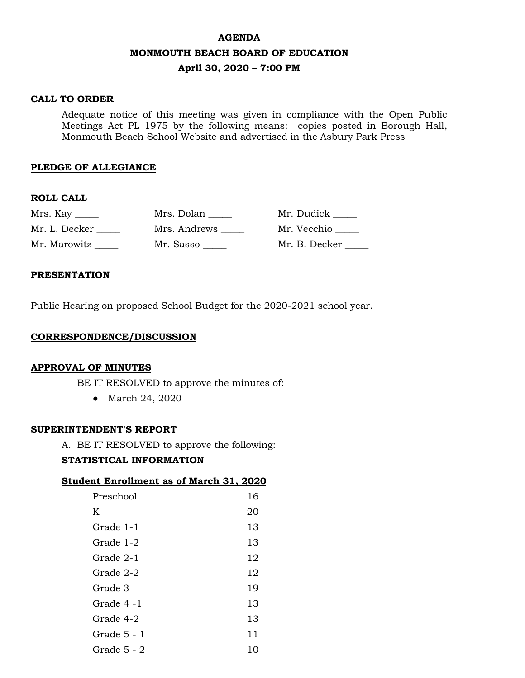# **AGENDA MONMOUTH BEACH BOARD OF EDUCATION April 30, 2020 – 7:00 PM**

# **CALL TO ORDER**

Adequate notice of this meeting was given in compliance with the Open Public Meetings Act PL 1975 by the following means: copies posted in Borough Hall, Monmouth Beach School Website and advertised in the Asbury Park Press

### **PLEDGE OF ALLEGIANCE**

### **ROLL CALL**

|               | Mrs. Dolan   | Mr. Dudick    |
|---------------|--------------|---------------|
| Mr. L. Decker | Mrs. Andrews | Mr. Vecchio   |
| Mr. Marowitz  | Mr. Sasso    | Mr. B. Decker |

### **PRESENTATION**

Public Hearing on proposed School Budget for the 2020-2021 school year.

### **CORRESPONDENCE/DISCUSSION**

### **APPROVAL OF MINUTES**

BE IT RESOLVED to approve the minutes of:

● March 24, 2020

### **SUPERINTENDENT'S REPORT**

A. BE IT RESOLVED to approve the following:

### **STATISTICAL INFORMATION**

### **Student Enrollment as of March 31, 2020**

| Preschool     | 16 |
|---------------|----|
| K             | 20 |
| Grade 1-1     | 13 |
| Grade 1-2     | 13 |
| Grade 2-1     | 12 |
| Grade 2-2     | 12 |
| Grade 3       | 19 |
| Grade 4-1     | 13 |
| Grade 4-2     | 13 |
| Grade 5 - 1   | 11 |
| Grade $5 - 2$ | 10 |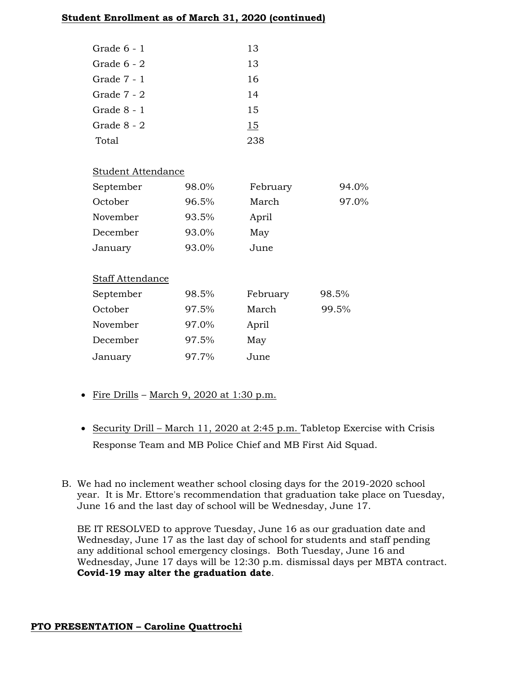# **Student Enrollment as of March 31, 2020 (continued)**

| Grade 6 - 1   | 13 |
|---------------|----|
| Grade $6 - 2$ | 13 |
| Grade $7 - 1$ | 16 |
| Grade 7 - 2   | 14 |
| Grade 8 - 1   | 15 |
| Grade 8 - 2   | 15 |
| Total         | 23 |

# Student Attendance

| September               | 98.0% | February | 94.0% |
|-------------------------|-------|----------|-------|
| October                 | 96.5% | March    | 97.0% |
| November                | 93.5% | April    |       |
| December                | 93.0% | May      |       |
| January                 | 93.0% | June     |       |
|                         |       |          |       |
| <b>Staff Attendance</b> |       |          |       |
| September               | 98.5% | February | 98.5% |
| October                 | 97.5% | March    | 99.5% |
|                         |       |          |       |
| November                | 97.0% | April    |       |
| December                | 97.5% | May      |       |

- Fire Drills March 9, 2020 at 1:30 p.m.
- Security Drill March 11, 2020 at 2:45 p.m. Tabletop Exercise with Crisis Response Team and MB Police Chief and MB First Aid Squad.
- B. We had no inclement weather school closing days for the 2019-2020 school year. It is Mr. Ettore's recommendation that graduation take place on Tuesday, June 16 and the last day of school will be Wednesday, June 17.

BE IT RESOLVED to approve Tuesday, June 16 as our graduation date and Wednesday, June 17 as the last day of school for students and staff pending any additional school emergency closings. Both Tuesday, June 16 and Wednesday, June 17 days will be 12:30 p.m. dismissal days per MBTA contract. **Covid-19 may alter the graduation date**.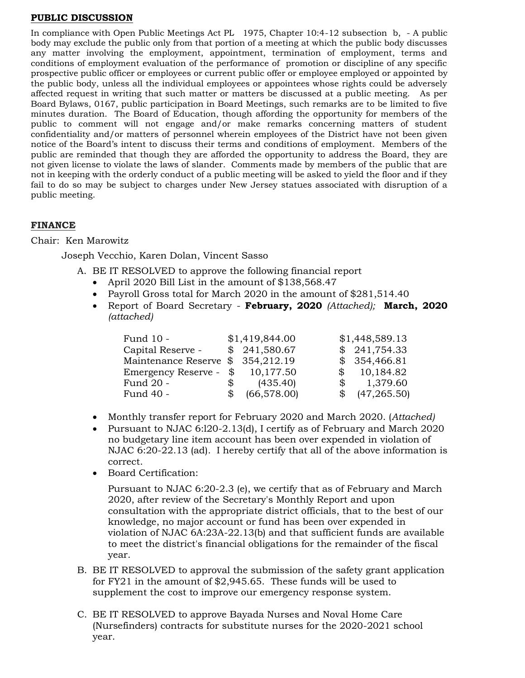### **PUBLIC DISCUSSION**

In compliance with Open Public Meetings Act PL 1975, Chapter 10:4-12 subsection b, - A public body may exclude the public only from that portion of a meeting at which the public body discusses any matter involving the employment, appointment, termination of employment, terms and conditions of employment evaluation of the performance of promotion or discipline of any specific prospective public officer or employees or current public offer or employee employed or appointed by the public body, unless all the individual employees or appointees whose rights could be adversely affected request in writing that such matter or matters be discussed at a public meeting. As per Board Bylaws, 0167, public participation in Board Meetings, such remarks are to be limited to five minutes duration. The Board of Education, though affording the opportunity for members of the public to comment will not engage and/or make remarks concerning matters of student confidentiality and/or matters of personnel wherein employees of the District have not been given notice of the Board's intent to discuss their terms and conditions of employment. Members of the public are reminded that though they are afforded the opportunity to address the Board, they are not given license to violate the laws of slander. Comments made by members of the public that are not in keeping with the orderly conduct of a public meeting will be asked to yield the floor and if they fail to do so may be subject to charges under New Jersey statues associated with disruption of a public meeting.

# **FINANCE**

# Chair: Ken Marowitz

Joseph Vecchio, Karen Dolan, Vincent Sasso

- A. BE IT RESOLVED to approve the following financial report
	- April 2020 Bill List in the amount of \$138,568.47
	- Payroll Gross total for March 2020 in the amount of \$281,514.40
	- Report of Board Secretary **February, 2020** *(Attached);* **March, 2020**  *(attached)*

| Fund 10 -                         |     | \$1,419,844.00 |              | \$1,448,589.13 |
|-----------------------------------|-----|----------------|--------------|----------------|
| Capital Reserve -                 |     | \$241,580.67   |              | \$241,754.33   |
| Maintenance Reserve \$ 354,212.19 |     |                |              | \$354,466.81   |
| Emergency Reserve -               |     | \$10,177.50    |              | \$10,184.82    |
| Fund 20 -                         | \$  | (435.40)       | $\mathbb{S}$ | 1,379.60       |
| Fund 40 -                         | \$. | (66, 578.00)   |              | \$ (47,265.50) |

- Monthly transfer report for February 2020 and March 2020. (*Attached)*
- Pursuant to NJAC 6:l20-2.13(d), I certify as of February and March 2020 no budgetary line item account has been over expended in violation of NJAC 6:20-22.13 (ad). I hereby certify that all of the above information is correct.
- Board Certification:

Pursuant to NJAC 6:20-2.3 (e), we certify that as of February and March 2020, after review of the Secretary's Monthly Report and upon consultation with the appropriate district officials, that to the best of our knowledge, no major account or fund has been over expended in violation of NJAC 6A:23A-22.13(b) and that sufficient funds are available to meet the district's financial obligations for the remainder of the fiscal year.

- B. BE IT RESOLVED to approval the submission of the safety grant application for FY21 in the amount of \$2,945.65. These funds will be used to supplement the cost to improve our emergency response system.
- C. BE IT RESOLVED to approve Bayada Nurses and Noval Home Care (Nursefinders) contracts for substitute nurses for the 2020-2021 school year.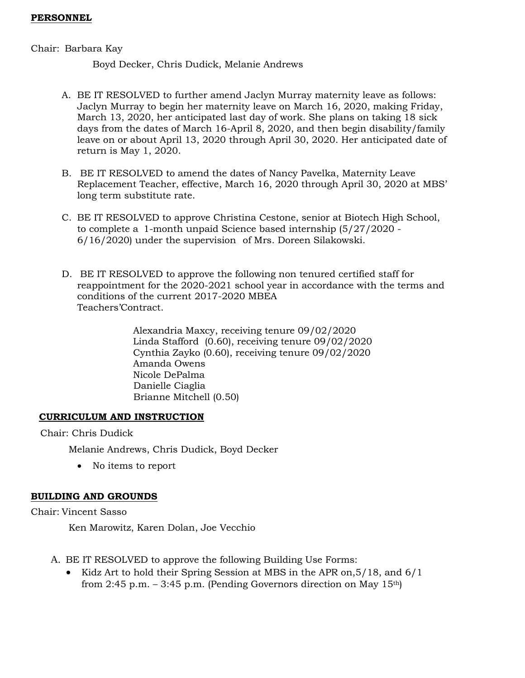### **PERSONNEL**

### Chair: Barbara Kay

Boyd Decker, Chris Dudick, Melanie Andrews

- A. BE IT RESOLVED to further amend Jaclyn Murray maternity leave as follows: Jaclyn Murray to begin her maternity leave on March 16, 2020, making Friday, March 13, 2020, her anticipated last day of work. She plans on taking 18 sick days from the dates of March 16-April 8, 2020, and then begin disability/family leave on or about April 13, 2020 through April 30, 2020. Her anticipated date of return is May 1, 2020.
- B. BE IT RESOLVED to amend the dates of Nancy Pavelka, Maternity Leave Replacement Teacher, effective, March 16, 2020 through April 30, 2020 at MBS' long term substitute rate.
- C. BE IT RESOLVED to approve Christina Cestone, senior at Biotech High School, to complete a 1-month unpaid Science based internship (5/27/2020 - 6/16/2020) under the supervision of Mrs. Doreen Silakowski.
- D. BE IT RESOLVED to approve the following non tenured certified staff for reappointment for the 2020-2021 school year in accordance with the terms and conditions of the current 2017-2020 MBEA Teachers'Contract.

Alexandria Maxcy, receiving tenure 09/02/2020 Linda Stafford (0.60), receiving tenure 09/02/2020 Cynthia Zayko (0.60), receiving tenure 09/02/2020 Amanda Owens Nicole DePalma Danielle Ciaglia Brianne Mitchell (0.50)

# **CURRICULUM AND INSTRUCTION**

Chair: Chris Dudick

Melanie Andrews, Chris Dudick, Boyd Decker

• No items to report

# **BUILDING AND GROUNDS**

Chair: Vincent Sasso

Ken Marowitz, Karen Dolan, Joe Vecchio

- A. BE IT RESOLVED to approve the following Building Use Forms:
	- Kidz Art to hold their Spring Session at MBS in the APR on,5/18, and 6/1 from 2:45 p.m.  $-$  3:45 p.m. (Pending Governors direction on May 15<sup>th</sup>)